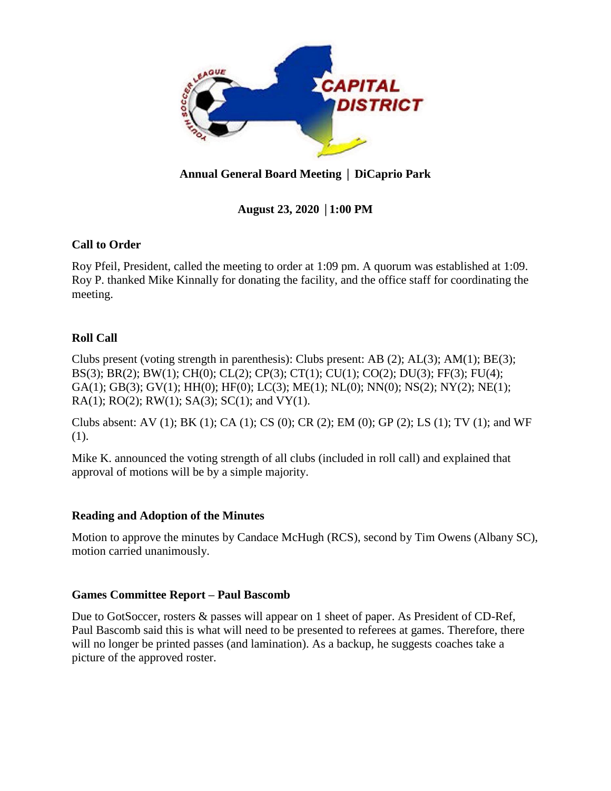

# **Annual General Board Meeting** │ **DiCaprio Park**

# **August 23, 2020** │**1:00 PM**

## **Call to Order**

Roy Pfeil, President, called the meeting to order at 1:09 pm. A quorum was established at 1:09. Roy P. thanked Mike Kinnally for donating the facility, and the office staff for coordinating the meeting.

## **Roll Call**

Clubs present (voting strength in parenthesis): Clubs present: AB (2); AL(3); AM(1); BE(3); BS(3); BR(2); BW(1); CH(0); CL(2); CP(3); CT(1); CU(1); CO(2); DU(3); FF(3); FU(4); GA(1); GB(3); GV(1); HH(0); HF(0); LC(3); ME(1); NL(0); NN(0); NS(2); NY(2); NE(1); RA(1); RO(2); RW(1); SA(3); SC(1); and VY(1).

Clubs absent: AV (1); BK (1); CA (1); CS (0); CR (2); EM (0); GP (2); LS (1); TV (1); and WF (1).

Mike K. announced the voting strength of all clubs (included in roll call) and explained that approval of motions will be by a simple majority.

## **Reading and Adoption of the Minutes**

Motion to approve the minutes by Candace McHugh (RCS), second by Tim Owens (Albany SC), motion carried unanimously.

## **Games Committee Report – Paul Bascomb**

Due to GotSoccer, rosters & passes will appear on 1 sheet of paper. As President of CD-Ref, Paul Bascomb said this is what will need to be presented to referees at games. Therefore, there will no longer be printed passes (and lamination). As a backup, he suggests coaches take a picture of the approved roster.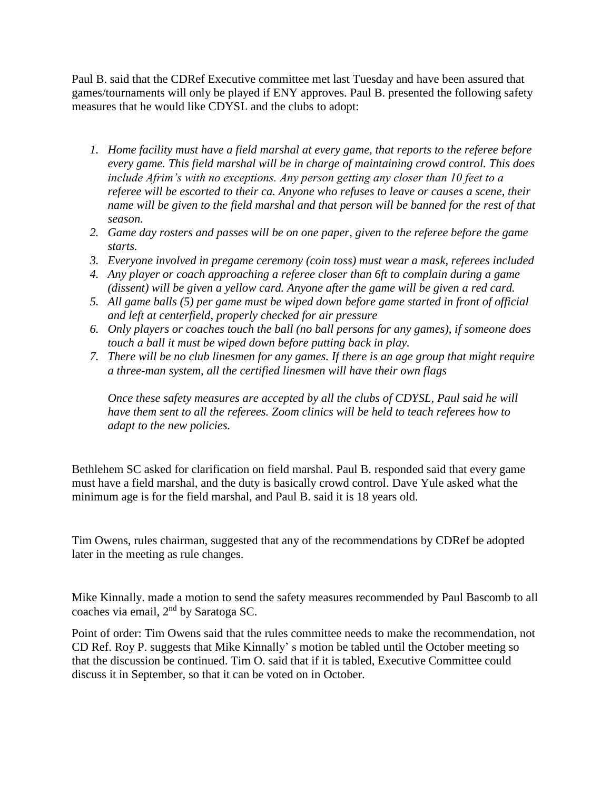Paul B. said that the CDRef Executive committee met last Tuesday and have been assured that games/tournaments will only be played if ENY approves. Paul B. presented the following safety measures that he would like CDYSL and the clubs to adopt:

- *1. Home facility must have a field marshal at every game, that reports to the referee before every game. This field marshal will be in charge of maintaining crowd control. This does include Afrim's with no exceptions. Any person getting any closer than 10 feet to a referee will be escorted to their ca. Anyone who refuses to leave or causes a scene, their name will be given to the field marshal and that person will be banned for the rest of that season.*
- *2. Game day rosters and passes will be on one paper, given to the referee before the game starts.*
- *3. Everyone involved in pregame ceremony (coin toss) must wear a mask, referees included*
- *4. Any player or coach approaching a referee closer than 6ft to complain during a game (dissent) will be given a yellow card. Anyone after the game will be given a red card.*
- *5. All game balls (5) per game must be wiped down before game started in front of official and left at centerfield, properly checked for air pressure*
- *6. Only players or coaches touch the ball (no ball persons for any games), if someone does touch a ball it must be wiped down before putting back in play.*
- *7. There will be no club linesmen for any games. If there is an age group that might require a three-man system, all the certified linesmen will have their own flags*

*Once these safety measures are accepted by all the clubs of CDYSL, Paul said he will have them sent to all the referees. Zoom clinics will be held to teach referees how to adapt to the new policies.* 

Bethlehem SC asked for clarification on field marshal. Paul B. responded said that every game must have a field marshal, and the duty is basically crowd control. Dave Yule asked what the minimum age is for the field marshal, and Paul B. said it is 18 years old.

Tim Owens, rules chairman, suggested that any of the recommendations by CDRef be adopted later in the meeting as rule changes.

Mike Kinnally. made a motion to send the safety measures recommended by Paul Bascomb to all coaches via email, 2nd by Saratoga SC.

Point of order: Tim Owens said that the rules committee needs to make the recommendation, not CD Ref. Roy P. suggests that Mike Kinnally' s motion be tabled until the October meeting so that the discussion be continued. Tim O. said that if it is tabled, Executive Committee could discuss it in September, so that it can be voted on in October.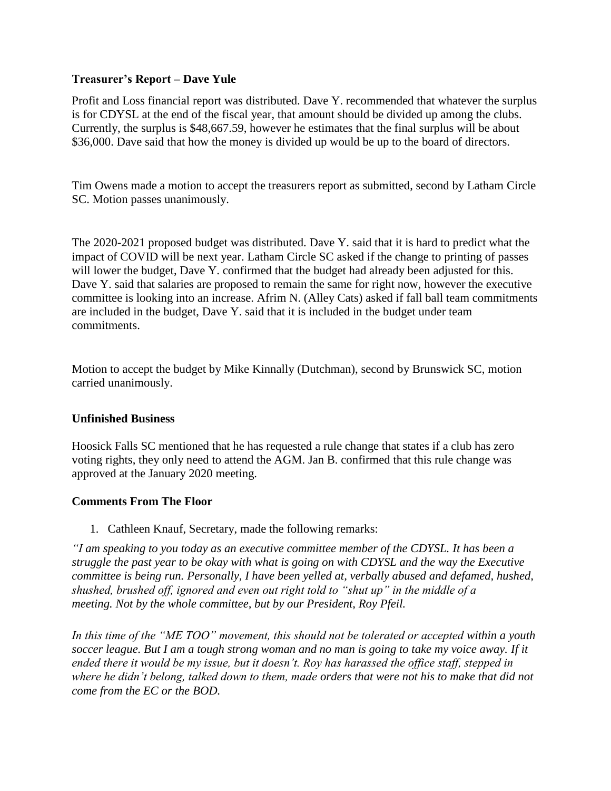## **Treasurer's Report – Dave Yule**

Profit and Loss financial report was distributed. Dave Y. recommended that whatever the surplus is for CDYSL at the end of the fiscal year, that amount should be divided up among the clubs. Currently, the surplus is \$48,667.59, however he estimates that the final surplus will be about \$36,000. Dave said that how the money is divided up would be up to the board of directors.

Tim Owens made a motion to accept the treasurers report as submitted, second by Latham Circle SC. Motion passes unanimously.

The 2020-2021 proposed budget was distributed. Dave Y. said that it is hard to predict what the impact of COVID will be next year. Latham Circle SC asked if the change to printing of passes will lower the budget, Dave Y. confirmed that the budget had already been adjusted for this. Dave Y. said that salaries are proposed to remain the same for right now, however the executive committee is looking into an increase. Afrim N. (Alley Cats) asked if fall ball team commitments are included in the budget, Dave Y. said that it is included in the budget under team commitments.

Motion to accept the budget by Mike Kinnally (Dutchman), second by Brunswick SC, motion carried unanimously.

#### **Unfinished Business**

Hoosick Falls SC mentioned that he has requested a rule change that states if a club has zero voting rights, they only need to attend the AGM. Jan B. confirmed that this rule change was approved at the January 2020 meeting.

## **Comments From The Floor**

1. Cathleen Knauf, Secretary, made the following remarks:

*"I am speaking to you today as an executive committee member of the CDYSL. It has been a struggle the past year to be okay with what is going on with CDYSL and the way the Executive committee is being run. Personally, I have been yelled at, verbally abused and defamed, hushed, shushed, brushed off, ignored and even out right told to "shut up" in the middle of a meeting. Not by the whole committee, but by our President, Roy Pfeil.*

*In this time of the "ME TOO" movement, this should not be tolerated or accepted within a youth soccer league. But I am a tough strong woman and no man is going to take my voice away. If it ended there it would be my issue, but it doesn't. Roy has harassed the office staff, stepped in where he didn't belong, talked down to them, made orders that were not his to make that did not come from the EC or the BOD.*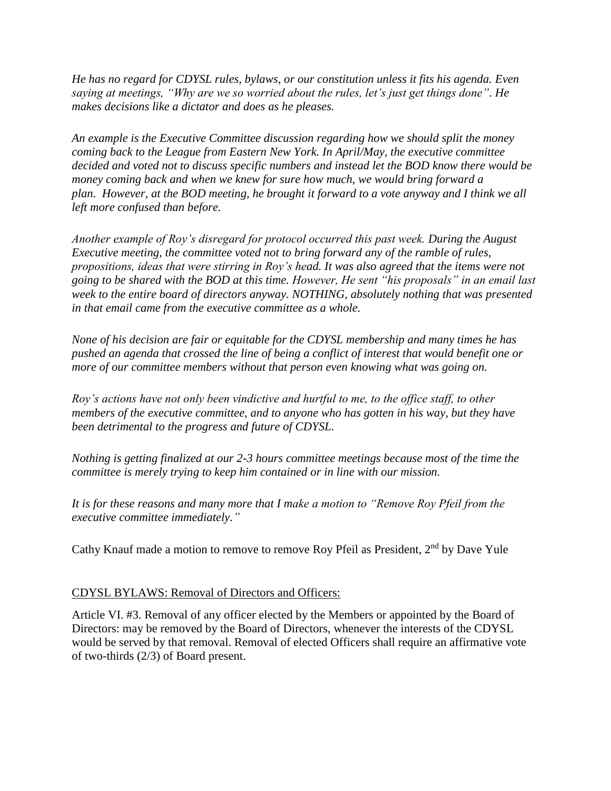*He has no regard for CDYSL rules, bylaws, or our constitution unless it fits his agenda. Even saying at meetings, "Why are we so worried about the rules, let's just get things done". He makes decisions like a dictator and does as he pleases.* 

*An example is the Executive Committee discussion regarding how we should split the money coming back to the League from Eastern New York. In April/May, the executive committee decided and voted not to discuss specific numbers and instead let the BOD know there would be money coming back and when we knew for sure how much, we would bring forward a plan. However, at the BOD meeting, he brought it forward to a vote anyway and I think we all left more confused than before.*

*Another example of Roy's disregard for protocol occurred this past week. During the August Executive meeting, the committee voted not to bring forward any of the ramble of rules, propositions, ideas that were stirring in Roy's head. It was also agreed that the items were not going to be shared with the BOD at this time. However, He sent "his proposals" in an email last week to the entire board of directors anyway. NOTHING, absolutely nothing that was presented in that email came from the executive committee as a whole.*

*None of his decision are fair or equitable for the CDYSL membership and many times he has pushed an agenda that crossed the line of being a conflict of interest that would benefit one or more of our committee members without that person even knowing what was going on.*

*Roy's actions have not only been vindictive and hurtful to me, to the office staff, to other members of the executive committee, and to anyone who has gotten in his way, but they have been detrimental to the progress and future of CDYSL.*

*Nothing is getting finalized at our 2-3 hours committee meetings because most of the time the committee is merely trying to keep him contained or in line with our mission.*

*It is for these reasons and many more that I make a motion to "Remove Roy Pfeil from the executive committee immediately."*

Cathy Knauf made a motion to remove to remove Roy Pfeil as President,  $2<sup>nd</sup>$  by Dave Yule

#### CDYSL BYLAWS: Removal of Directors and Officers:

Article VI. #3. Removal of any officer elected by the Members or appointed by the Board of Directors: may be removed by the Board of Directors, whenever the interests of the CDYSL would be served by that removal. Removal of elected Officers shall require an affirmative vote of two-thirds (2/3) of Board present.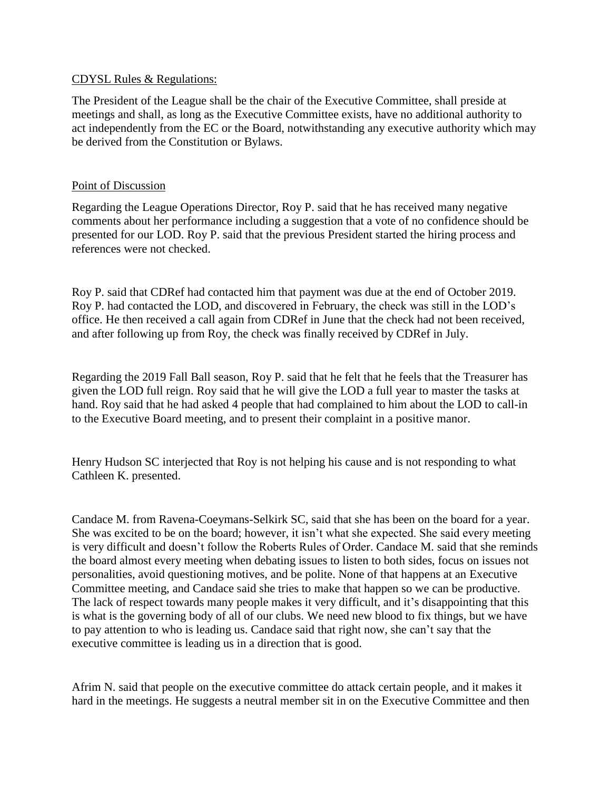#### CDYSL Rules & Regulations:

The President of the League shall be the chair of the Executive Committee, shall preside at meetings and shall, as long as the Executive Committee exists, have no additional authority to act independently from the EC or the Board, notwithstanding any executive authority which may be derived from the Constitution or Bylaws.

#### Point of Discussion

Regarding the League Operations Director, Roy P. said that he has received many negative comments about her performance including a suggestion that a vote of no confidence should be presented for our LOD. Roy P. said that the previous President started the hiring process and references were not checked.

Roy P. said that CDRef had contacted him that payment was due at the end of October 2019. Roy P. had contacted the LOD, and discovered in February, the check was still in the LOD's office. He then received a call again from CDRef in June that the check had not been received, and after following up from Roy, the check was finally received by CDRef in July.

Regarding the 2019 Fall Ball season, Roy P. said that he felt that he feels that the Treasurer has given the LOD full reign. Roy said that he will give the LOD a full year to master the tasks at hand. Roy said that he had asked 4 people that had complained to him about the LOD to call-in to the Executive Board meeting, and to present their complaint in a positive manor.

Henry Hudson SC interjected that Roy is not helping his cause and is not responding to what Cathleen K. presented.

Candace M. from Ravena-Coeymans-Selkirk SC, said that she has been on the board for a year. She was excited to be on the board; however, it isn't what she expected. She said every meeting is very difficult and doesn't follow the Roberts Rules of Order. Candace M. said that she reminds the board almost every meeting when debating issues to listen to both sides, focus on issues not personalities, avoid questioning motives, and be polite. None of that happens at an Executive Committee meeting, and Candace said she tries to make that happen so we can be productive. The lack of respect towards many people makes it very difficult, and it's disappointing that this is what is the governing body of all of our clubs. We need new blood to fix things, but we have to pay attention to who is leading us. Candace said that right now, she can't say that the executive committee is leading us in a direction that is good.

Afrim N. said that people on the executive committee do attack certain people, and it makes it hard in the meetings. He suggests a neutral member sit in on the Executive Committee and then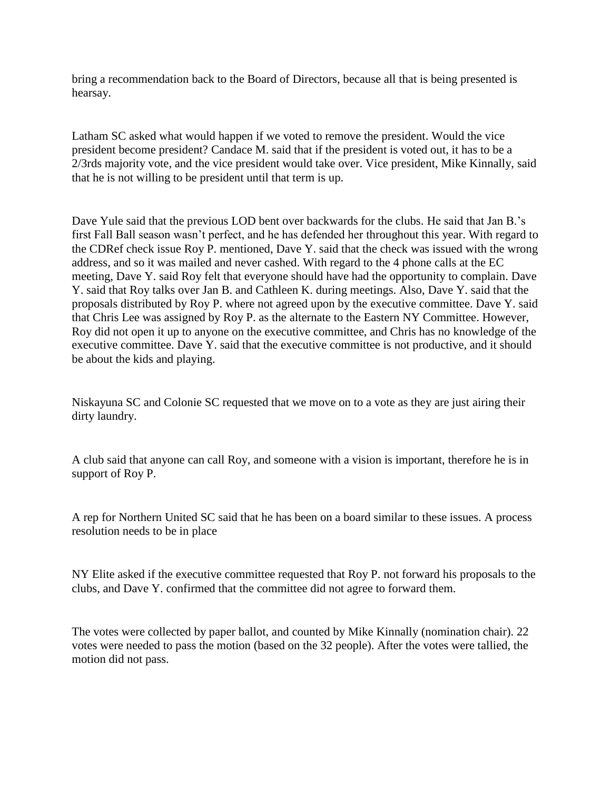bring a recommendation back to the Board of Directors, because all that is being presented is hearsay.

Latham SC asked what would happen if we voted to remove the president. Would the vice president become president? Candace M. said that if the president is voted out, it has to be a 2/3rds majority vote, and the vice president would take over. Vice president, Mike Kinnally, said that he is not willing to be president until that term is up.

Dave Yule said that the previous LOD bent over backwards for the clubs. He said that Jan B.'s first Fall Ball season wasn't perfect, and he has defended her throughout this year. With regard to the CDRef check issue Roy P. mentioned, Dave Y. said that the check was issued with the wrong address, and so it was mailed and never cashed. With regard to the 4 phone calls at the EC meeting, Dave Y. said Roy felt that everyone should have had the opportunity to complain. Dave Y. said that Roy talks over Jan B. and Cathleen K. during meetings. Also, Dave Y. said that the proposals distributed by Roy P. where not agreed upon by the executive committee. Dave Y. said that Chris Lee was assigned by Roy P. as the alternate to the Eastern NY Committee. However, Roy did not open it up to anyone on the executive committee, and Chris has no knowledge of the executive committee. Dave Y. said that the executive committee is not productive, and it should be about the kids and playing.

Niskayuna SC and Colonie SC requested that we move on to a vote as they are just airing their dirty laundry.

A club said that anyone can call Roy, and someone with a vision is important, therefore he is in support of Roy P.

A rep for Northern United SC said that he has been on a board similar to these issues. A process resolution needs to be in place

NY Elite asked if the executive committee requested that Roy P. not forward his proposals to the clubs, and Dave Y. confirmed that the committee did not agree to forward them.

The votes were collected by paper ballot, and counted by Mike Kinnally (nomination chair). 22 votes were needed to pass the motion (based on the 32 people). After the votes were tallied, the motion did not pass.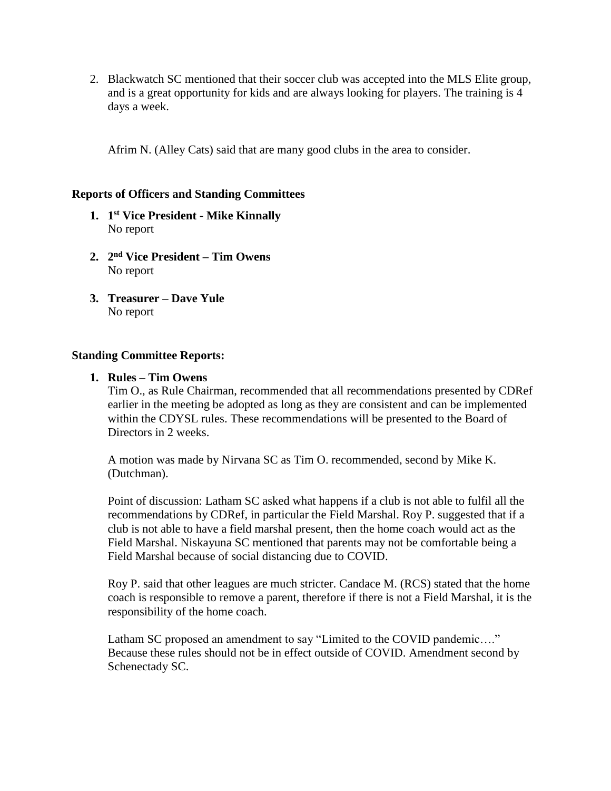2. Blackwatch SC mentioned that their soccer club was accepted into the MLS Elite group, and is a great opportunity for kids and are always looking for players. The training is 4 days a week.

Afrim N. (Alley Cats) said that are many good clubs in the area to consider.

#### **Reports of Officers and Standing Committees**

- **1. 1 st Vice President - Mike Kinnally** No report
- **2. 2 nd Vice President – Tim Owens** No report
- **3. Treasurer – Dave Yule** No report

#### **Standing Committee Reports:**

#### **1. Rules – Tim Owens**

Tim O., as Rule Chairman, recommended that all recommendations presented by CDRef earlier in the meeting be adopted as long as they are consistent and can be implemented within the CDYSL rules. These recommendations will be presented to the Board of Directors in 2 weeks.

A motion was made by Nirvana SC as Tim O. recommended, second by Mike K. (Dutchman).

Point of discussion: Latham SC asked what happens if a club is not able to fulfil all the recommendations by CDRef, in particular the Field Marshal. Roy P. suggested that if a club is not able to have a field marshal present, then the home coach would act as the Field Marshal. Niskayuna SC mentioned that parents may not be comfortable being a Field Marshal because of social distancing due to COVID.

Roy P. said that other leagues are much stricter. Candace M. (RCS) stated that the home coach is responsible to remove a parent, therefore if there is not a Field Marshal, it is the responsibility of the home coach.

Latham SC proposed an amendment to say "Limited to the COVID pandemic…." Because these rules should not be in effect outside of COVID. Amendment second by Schenectady SC.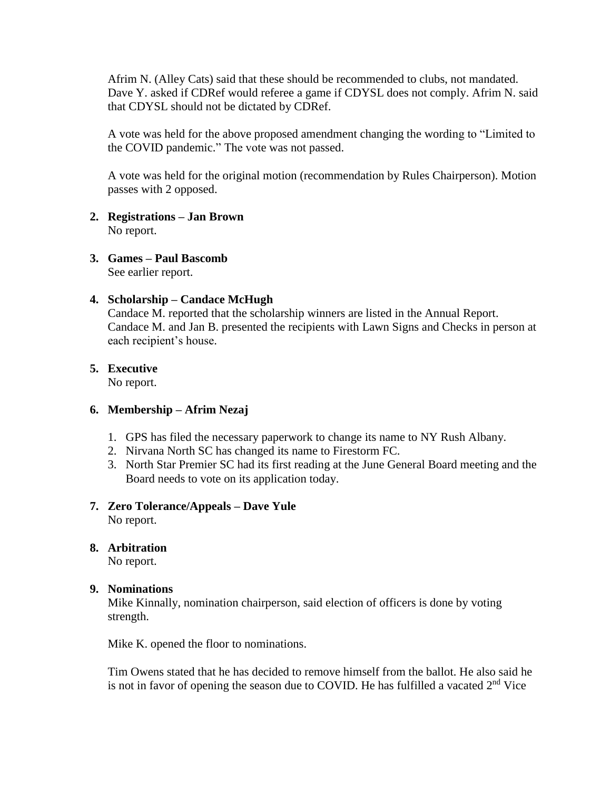Afrim N. (Alley Cats) said that these should be recommended to clubs, not mandated. Dave Y. asked if CDRef would referee a game if CDYSL does not comply. Afrim N. said that CDYSL should not be dictated by CDRef.

A vote was held for the above proposed amendment changing the wording to "Limited to the COVID pandemic." The vote was not passed.

A vote was held for the original motion (recommendation by Rules Chairperson). Motion passes with 2 opposed.

# **2. Registrations – Jan Brown**

No report.

#### **3. Games – Paul Bascomb**

See earlier report.

#### **4. Scholarship – Candace McHugh**

Candace M. reported that the scholarship winners are listed in the Annual Report. Candace M. and Jan B. presented the recipients with Lawn Signs and Checks in person at each recipient's house.

## **5. Executive**

No report.

#### **6. Membership – Afrim Nezaj**

- 1. GPS has filed the necessary paperwork to change its name to NY Rush Albany.
- 2. Nirvana North SC has changed its name to Firestorm FC.
- 3. North Star Premier SC had its first reading at the June General Board meeting and the Board needs to vote on its application today.

# **7. Zero Tolerance/Appeals – Dave Yule**

No report.

## **8. Arbitration**

No report.

#### **9. Nominations**

Mike Kinnally, nomination chairperson, said election of officers is done by voting strength.

Mike K. opened the floor to nominations.

Tim Owens stated that he has decided to remove himself from the ballot. He also said he is not in favor of opening the season due to COVID. He has fulfilled a vacated  $2<sup>nd</sup>$  Vice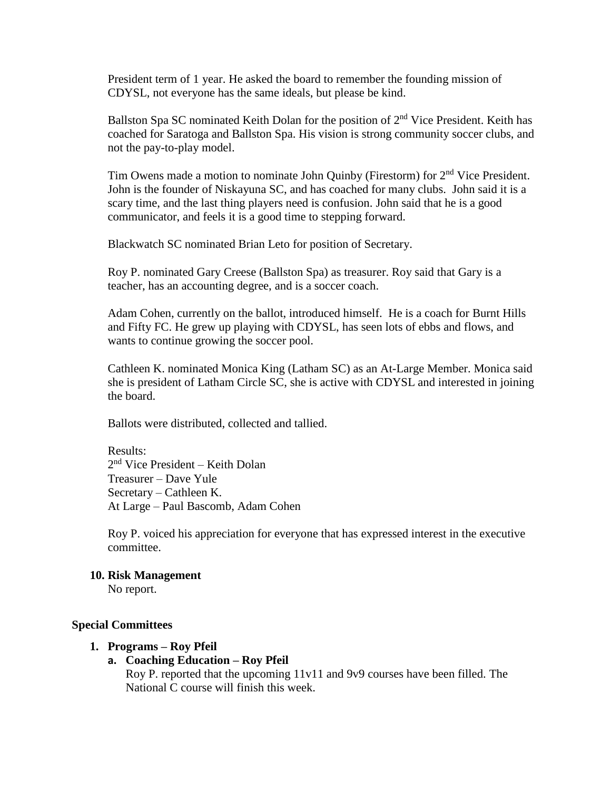President term of 1 year. He asked the board to remember the founding mission of CDYSL, not everyone has the same ideals, but please be kind.

Ballston Spa SC nominated Keith Dolan for the position of 2<sup>nd</sup> Vice President. Keith has coached for Saratoga and Ballston Spa. His vision is strong community soccer clubs, and not the pay-to-play model.

Tim Owens made a motion to nominate John Quinby (Firestorm) for 2<sup>nd</sup> Vice President. John is the founder of Niskayuna SC, and has coached for many clubs. John said it is a scary time, and the last thing players need is confusion. John said that he is a good communicator, and feels it is a good time to stepping forward.

Blackwatch SC nominated Brian Leto for position of Secretary.

Roy P. nominated Gary Creese (Ballston Spa) as treasurer. Roy said that Gary is a teacher, has an accounting degree, and is a soccer coach.

Adam Cohen, currently on the ballot, introduced himself. He is a coach for Burnt Hills and Fifty FC. He grew up playing with CDYSL, has seen lots of ebbs and flows, and wants to continue growing the soccer pool.

Cathleen K. nominated Monica King (Latham SC) as an At-Large Member. Monica said she is president of Latham Circle SC, she is active with CDYSL and interested in joining the board.

Ballots were distributed, collected and tallied.

Results: 2 nd Vice President – Keith Dolan Treasurer – Dave Yule Secretary – Cathleen K. At Large – Paul Bascomb, Adam Cohen

Roy P. voiced his appreciation for everyone that has expressed interest in the executive committee.

#### **10. Risk Management**

No report.

#### **Special Committees**

#### **1. Programs – Roy Pfeil**

#### **a. Coaching Education – Roy Pfeil**

Roy P. reported that the upcoming 11v11 and 9v9 courses have been filled. The National C course will finish this week.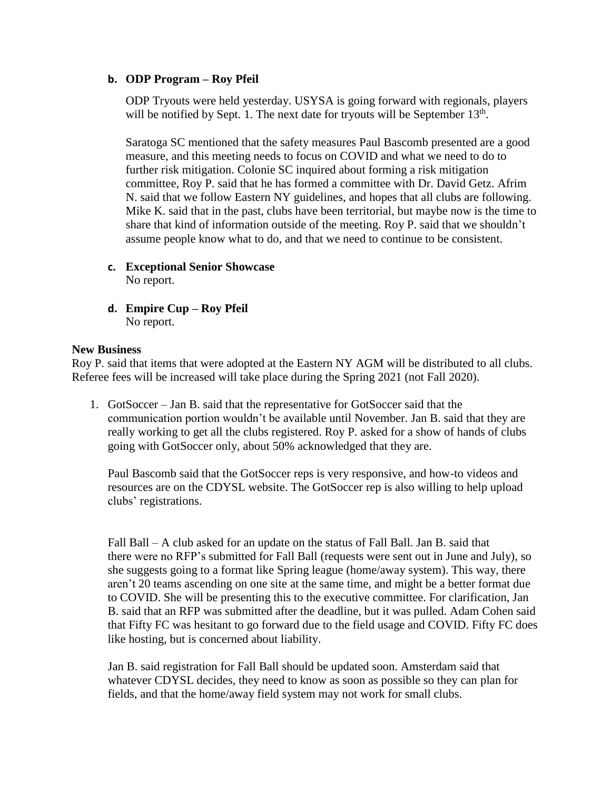## **b. ODP Program – Roy Pfeil**

ODP Tryouts were held yesterday. USYSA is going forward with regionals, players will be notified by Sept. 1. The next date for tryouts will be September  $13<sup>th</sup>$ .

Saratoga SC mentioned that the safety measures Paul Bascomb presented are a good measure, and this meeting needs to focus on COVID and what we need to do to further risk mitigation. Colonie SC inquired about forming a risk mitigation committee, Roy P. said that he has formed a committee with Dr. David Getz. Afrim N. said that we follow Eastern NY guidelines, and hopes that all clubs are following. Mike K. said that in the past, clubs have been territorial, but maybe now is the time to share that kind of information outside of the meeting. Roy P. said that we shouldn't assume people know what to do, and that we need to continue to be consistent.

- **c. Exceptional Senior Showcase** No report.
- **d. Empire Cup – Roy Pfeil** No report.

#### **New Business**

Roy P. said that items that were adopted at the Eastern NY AGM will be distributed to all clubs. Referee fees will be increased will take place during the Spring 2021 (not Fall 2020).

1. GotSoccer – Jan B. said that the representative for GotSoccer said that the communication portion wouldn't be available until November. Jan B. said that they are really working to get all the clubs registered. Roy P. asked for a show of hands of clubs going with GotSoccer only, about 50% acknowledged that they are.

Paul Bascomb said that the GotSoccer reps is very responsive, and how-to videos and resources are on the CDYSL website. The GotSoccer rep is also willing to help upload clubs' registrations.

Fall Ball – A club asked for an update on the status of Fall Ball. Jan B. said that there were no RFP's submitted for Fall Ball (requests were sent out in June and July), so she suggests going to a format like Spring league (home/away system). This way, there aren't 20 teams ascending on one site at the same time, and might be a better format due to COVID. She will be presenting this to the executive committee. For clarification, Jan B. said that an RFP was submitted after the deadline, but it was pulled. Adam Cohen said that Fifty FC was hesitant to go forward due to the field usage and COVID. Fifty FC does like hosting, but is concerned about liability.

Jan B. said registration for Fall Ball should be updated soon. Amsterdam said that whatever CDYSL decides, they need to know as soon as possible so they can plan for fields, and that the home/away field system may not work for small clubs.